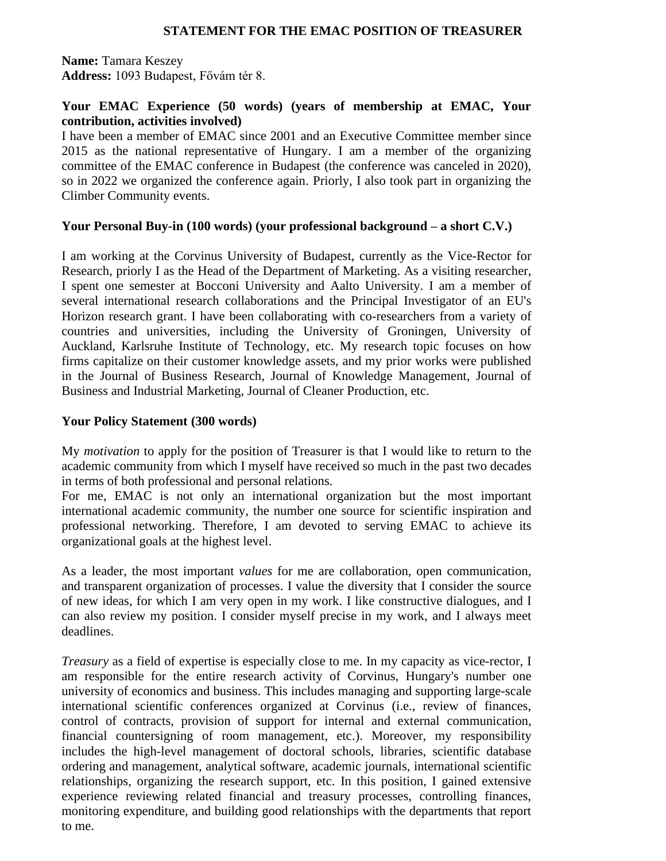## **STATEMENT FOR THE EMAC POSITION OF TREASURER**

**Name:** Tamara Keszey **Address:** 1093 Budapest, Fővám tér 8.

## **Your EMAC Experience (50 words) (years of membership at EMAC, Your contribution, activities involved)**

I have been a member of EMAC since 2001 and an Executive Committee member since 2015 as the national representative of Hungary. I am a member of the organizing committee of the EMAC conference in Budapest (the conference was canceled in 2020), so in 2022 we organized the conference again. Priorly, I also took part in organizing the Climber Community events.

## **Your Personal Buy-in (100 words) (your professional background – a short C.V.)**

I am working at the Corvinus University of Budapest, currently as the Vice-Rector for Research, priorly I as the Head of the Department of Marketing. As a visiting researcher, I spent one semester at Bocconi University and Aalto University. I am a member of several international research collaborations and the Principal Investigator of an EU's Horizon research grant. I have been collaborating with co-researchers from a variety of countries and universities, including the University of Groningen, University of Auckland, Karlsruhe Institute of Technology, etc. My research topic focuses on how firms capitalize on their customer knowledge assets, and my prior works were published in the Journal of Business Research, Journal of Knowledge Management, Journal of Business and Industrial Marketing, Journal of Cleaner Production, etc.

## **Your Policy Statement (300 words)**

My *motivation* to apply for the position of Treasurer is that I would like to return to the academic community from which I myself have received so much in the past two decades in terms of both professional and personal relations.

For me, EMAC is not only an international organization but the most important international academic community, the number one source for scientific inspiration and professional networking. Therefore, I am devoted to serving EMAC to achieve its organizational goals at the highest level.

As a leader, the most important *values* for me are collaboration, open communication, and transparent organization of processes. I value the diversity that I consider the source of new ideas, for which I am very open in my work. I like constructive dialogues, and I can also review my position. I consider myself precise in my work, and I always meet deadlines.

*Treasury* as a field of expertise is especially close to me. In my capacity as vice-rector, I am responsible for the entire research activity of Corvinus, Hungary's number one university of economics and business. This includes managing and supporting large-scale international scientific conferences organized at Corvinus (i.e., review of finances, control of contracts, provision of support for internal and external communication, financial countersigning of room management, etc.). Moreover, my responsibility includes the high-level management of doctoral schools, libraries, scientific database ordering and management, analytical software, academic journals, international scientific relationships, organizing the research support, etc. In this position, I gained extensive experience reviewing related financial and treasury processes, controlling finances, monitoring expenditure, and building good relationships with the departments that report to me.